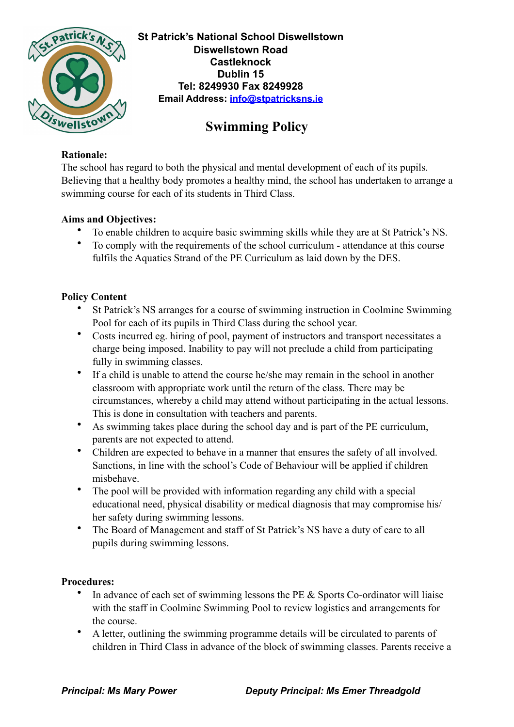

**St Patrick's National School Diswellstown Diswellstown Road Castleknock Dublin 15 Tel: 8249930 Fax 8249928 Email Address: [info@stpatricksns.ie](mailto:info@stpatricksns.ie)**

# **Swimming Policy**

#### **Rationale:**

The school has regard to both the physical and mental development of each of its pupils. Believing that a healthy body promotes a healthy mind, the school has undertaken to arrange a swimming course for each of its students in Third Class.

## **Aims and Objectives:**

- To enable children to acquire basic swimming skills while they are at St Patrick's NS.
- To comply with the requirements of the school curriculum attendance at this course fulfils the Aquatics Strand of the PE Curriculum as laid down by the DES.

## **Policy Content**

- St Patrick's NS arranges for a course of swimming instruction in Coolmine Swimming Pool for each of its pupils in Third Class during the school year.
- Costs incurred eg. hiring of pool, payment of instructors and transport necessitates a charge being imposed. Inability to pay will not preclude a child from participating fully in swimming classes.
- If a child is unable to attend the course he/she may remain in the school in another classroom with appropriate work until the return of the class. There may be circumstances, whereby a child may attend without participating in the actual lessons. This is done in consultation with teachers and parents.
- As swimming takes place during the school day and is part of the PE curriculum, parents are not expected to attend.
- Children are expected to behave in a manner that ensures the safety of all involved. Sanctions, in line with the school's Code of Behaviour will be applied if children misbehave.
- The pool will be provided with information regarding any child with a special educational need, physical disability or medical diagnosis that may compromise his/ her safety during swimming lessons.
- The Board of Management and staff of St Patrick's NS have a duty of care to all pupils during swimming lessons.

#### **Procedures:**

- In advance of each set of swimming lessons the PE & Sports Co-ordinator will liaise with the staff in Coolmine Swimming Pool to review logistics and arrangements for the course.
- A letter, outlining the swimming programme details will be circulated to parents of children in Third Class in advance of the block of swimming classes. Parents receive a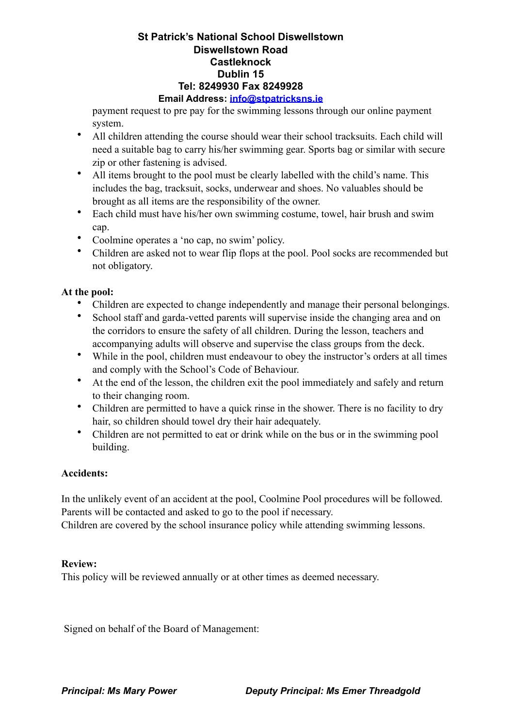#### **St Patrick's National School Diswellstown Diswellstown Road Castleknock Dublin 15 Tel: 8249930 Fax 8249928 Email Address: [info@stpatricksns.ie](mailto:info@stpatricksns.ie)**

payment request to pre pay for the swimming lessons through our online payment system.

- All children attending the course should wear their school tracksuits. Each child will need a suitable bag to carry his/her swimming gear. Sports bag or similar with secure zip or other fastening is advised.
- All items brought to the pool must be clearly labelled with the child's name. This includes the bag, tracksuit, socks, underwear and shoes. No valuables should be brought as all items are the responsibility of the owner.
- Each child must have his/her own swimming costume, towel, hair brush and swim cap.
- Coolmine operates a 'no cap, no swim' policy.
- Children are asked not to wear flip flops at the pool. Pool socks are recommended but not obligatory.

# **At the pool:**

- Children are expected to change independently and manage their personal belongings.
- School staff and garda-vetted parents will supervise inside the changing area and on the corridors to ensure the safety of all children. During the lesson, teachers and accompanying adults will observe and supervise the class groups from the deck.
- While in the pool, children must endeavour to obey the instructor's orders at all times and comply with the School's Code of Behaviour.
- At the end of the lesson, the children exit the pool immediately and safely and return to their changing room.
- Children are permitted to have a quick rinse in the shower. There is no facility to dry hair, so children should towel dry their hair adequately.
- Children are not permitted to eat or drink while on the bus or in the swimming pool building.

#### **Accidents:**

In the unlikely event of an accident at the pool, Coolmine Pool procedures will be followed. Parents will be contacted and asked to go to the pool if necessary.

Children are covered by the school insurance policy while attending swimming lessons.

#### **Review:**

This policy will be reviewed annually or at other times as deemed necessary.

Signed on behalf of the Board of Management: